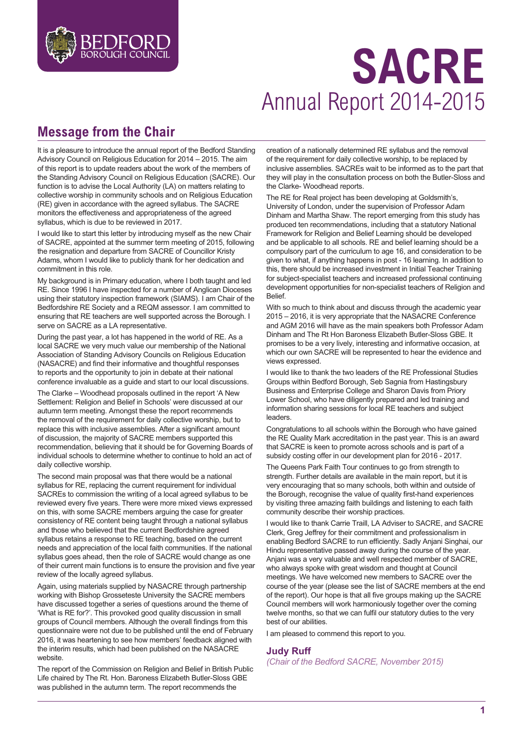

## **SACRE** Annual Report 2014-2015

## **Message from the Chair**

It is a pleasure to introduce the annual report of the Bedford Standing Advisory Council on Religious Education for 2014 – 2015. The aim of this report is to update readers about the work of the members of the Standing Advisory Council on Religious Education (SACRE). Our function is to advise the Local Authority (LA) on matters relating to collective worship in community schools and on Religious Education (RE) given in accordance with the agreed syllabus. The SACRE monitors the effectiveness and appropriateness of the agreed syllabus, which is due to be reviewed in 2017.

I would like to start this letter by introducing myself as the new Chair of SACRE, appointed at the summer term meeting of 2015, following the resignation and departure from SACRE of Councillor Kristy Adams, whom I would like to publicly thank for her dedication and commitment in this role.

My background is in Primary education, where I both taught and led RE. Since 1996 I have inspected for a number of Anglican Dioceses using their statutory inspection framework (SIAMS). I am Chair of the Bedfordshire RE Society and a REQM assessor. I am committed to ensuring that RE teachers are well supported across the Borough. I serve on SACRE as a LA representative.

During the past year, a lot has happened in the world of RE. As a local SACRE we very much value our membership of the National Association of Standing Advisory Councils on Religious Education (NASACRE) and find their informative and thoughtful responses to reports and the opportunity to join in debate at their national conference invaluable as a guide and start to our local discussions.

The Clarke – Woodhead proposals outlined in the report 'A New Settlement: Religion and Belief in Schools' were discussed at our autumn term meeting. Amongst these the report recommends the removal of the requirement for daily collective worship, but to replace this with inclusive assemblies. After a significant amount of discussion, the majority of SACRE members supported this recommendation, believing that it should be for Governing Boards of individual schools to determine whether to continue to hold an act of daily collective worship.

The second main proposal was that there would be a national syllabus for RE, replacing the current requirement for individual SACREs to commission the writing of a local agreed syllabus to be reviewed every five years. There were more mixed views expressed on this, with some SACRE members arguing the case for greater consistency of RE content being taught through a national syllabus and those who believed that the current Bedfordshire agreed syllabus retains a response to RE teaching, based on the current needs and appreciation of the local faith communities. If the national syllabus goes ahead, then the role of SACRE would change as one of their current main functions is to ensure the provision and five year review of the locally agreed syllabus.

Again, using materials supplied by NASACRE through partnership working with Bishop Grosseteste University the SACRE members have discussed together a series of questions around the theme of 'What is RE for?'. This provoked good quality discussion in small groups of Council members. Although the overall findings from this questionnaire were not due to be published until the end of February 2016, it was heartening to see how members' feedback aligned with the interim results, which had been published on the NASACRE website.

The report of the Commission on Religion and Belief in British Public Life chaired by The Rt. Hon. Baroness Elizabeth Butler-Sloss GBE was published in the autumn term. The report recommends the

creation of a nationally determined RE syllabus and the removal of the requirement for daily collective worship, to be replaced by inclusive assemblies. SACREs wait to be informed as to the part that they will play in the consultation process on both the Butler-Sloss and the Clarke- Woodhead reports.

The RE for Real project has been developing at Goldsmith's, University of London, under the supervision of Professor Adam Dinham and Martha Shaw. The report emerging from this study has produced ten recommendations, including that a statutory National Framework for Religion and Belief Learning should be developed and be applicable to all schools. RE and belief learning should be a compulsory part of the curriculum to age 16, and consideration to be given to what, if anything happens in post - 16 learning. In addition to this, there should be increased investment in Initial Teacher Training for subject-specialist teachers and increased professional continuing development opportunities for non-specialist teachers of Religion and Belief.

With so much to think about and discuss through the academic year 2015 – 2016, it is very appropriate that the NASACRE Conference and AGM 2016 will have as the main speakers both Professor Adam Dinham and The Rt Hon Baroness Elizabeth Butler-Sloss GBE. It promises to be a very lively, interesting and informative occasion, at which our own SACRE will be represented to hear the evidence and views expressed.

I would like to thank the two leaders of the RE Professional Studies Groups within Bedford Borough, Seb Sagnia from Hastingsbury Business and Enterprise College and Sharon Davis from Priory Lower School, who have diligently prepared and led training and information sharing sessions for local RE teachers and subject leaders.

Congratulations to all schools within the Borough who have gained the RE Quality Mark accreditation in the past year. This is an award that SACRE is keen to promote across schools and is part of a subsidy costing offer in our development plan for 2016 - 2017.

The Queens Park Faith Tour continues to go from strength to strength. Further details are available in the main report, but it is very encouraging that so many schools, both within and outside of the Borough, recognise the value of quality first-hand experiences by visiting three amazing faith buildings and listening to each faith community describe their worship practices.

I would like to thank Carrie Traill, LA Adviser to SACRE, and SACRE Clerk, Greg Jeffrey for their commitment and professionalism in enabling Bedford SACRE to run efficiently. Sadly Anjani Singhai, our Hindu representative passed away during the course of the year. Anjani was a very valuable and well respected member of SACRE, who always spoke with great wisdom and thought at Council meetings. We have welcomed new members to SACRE over the course of the year (please see the list of SACRE members at the end of the report). Our hope is that all five groups making up the SACRE Council members will work harmoniously together over the coming twelve months, so that we can fulfil our statutory duties to the very best of our abilities.

I am pleased to commend this report to you.

#### **Judy Ruff**

*(Chair of the Bedford SACRE, November 2015)*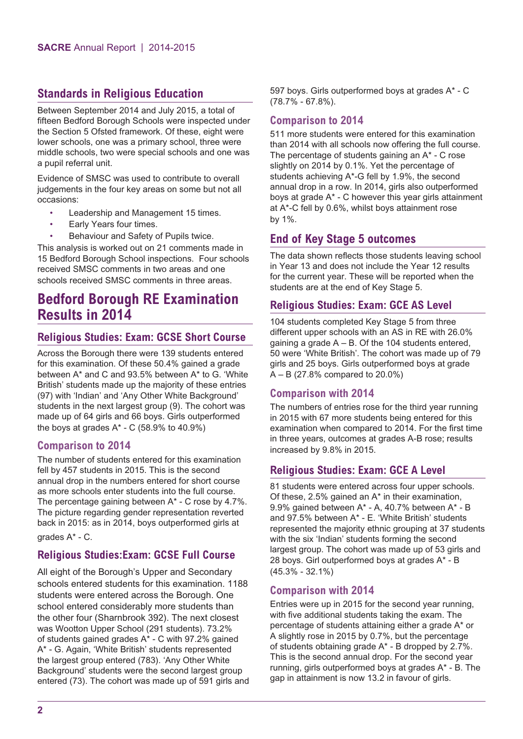#### **Standards in Religious Education**

Between September 2014 and July 2015, a total of fifteen Bedford Borough Schools were inspected under the Section 5 Ofsted framework. Of these, eight were lower schools, one was a primary school, three were middle schools, two were special schools and one was a pupil referral unit.

Evidence of SMSC was used to contribute to overall judgements in the four key areas on some but not all occasions:

- Leadership and Management 15 times.
- Early Years four times.
- Behaviour and Safety of Pupils twice.

This analysis is worked out on 21 comments made in 15 Bedford Borough School inspections. Four schools received SMSC comments in two areas and one schools received SMSC comments in three areas.

## **Bedford Borough RE Examination Results in 2014**

#### **Religious Studies: Exam: GCSE Short Course**

Across the Borough there were 139 students entered for this examination. Of these 50.4% gained a grade between A\* and C and 93.5% between A\* to G. 'White British' students made up the majority of these entries (97) with 'Indian' and 'Any Other White Background' students in the next largest group (9). The cohort was made up of 64 girls and 66 boys. Girls outperformed the boys at grades  $A^*$  - C (58.9% to 40.9%)

#### **Comparison to 2014**

The number of students entered for this examination fell by 457 students in 2015. This is the second annual drop in the numbers entered for short course as more schools enter students into the full course. The percentage gaining between A\* - C rose by 4.7%. The picture regarding gender representation reverted back in 2015: as in 2014, boys outperformed girls at

grades A\* - C.

#### **Religious Studies:Exam: GCSE Full Course**

All eight of the Borough's Upper and Secondary schools entered students for this examination. 1188 students were entered across the Borough. One school entered considerably more students than the other four (Sharnbrook 392). The next closest was Wootton Upper School (291 students). 73.2% of students gained grades A\* - C with 97.2% gained A\* - G. Again, 'White British' students represented the largest group entered (783). 'Any Other White Background' students were the second largest group entered (73). The cohort was made up of 591 girls and 597 boys. Girls outperformed boys at grades A\* - C (78.7% - 67.8%).

#### **Comparison to 2014**

511 more students were entered for this examination than 2014 with all schools now offering the full course. The percentage of students gaining an A\* - C rose slightly on 2014 by 0.1%. Yet the percentage of students achieving A\*-G fell by 1.9%, the second annual drop in a row. In 2014, girls also outperformed boys at grade A\* - C however this year girls attainment at A\*-C fell by 0.6%, whilst boys attainment rose by 1%.

#### **End of Key Stage 5 outcomes**

The data shown reflects those students leaving school in Year 13 and does not include the Year 12 results for the current year. These will be reported when the students are at the end of Key Stage 5.

#### **Religious Studies: Exam: GCE AS Level**

104 students completed Key Stage 5 from three different upper schools with an AS in RE with 26.0% gaining a grade  $A - B$ . Of the 104 students entered, 50 were 'White British'. The cohort was made up of 79 girls and 25 boys. Girls outperformed boys at grade A – B (27.8% compared to 20.0%)

#### **Comparison with 2014**

The numbers of entries rose for the third year running in 2015 with 67 more students being entered for this examination when compared to 2014. For the first time in three years, outcomes at grades A-B rose; results increased by 9.8% in 2015.

#### **Religious Studies: Exam: GCE A Level**

81 students were entered across four upper schools. Of these, 2.5% gained an A\* in their examination, 9.9% gained between A\* - A, 40.7% between A\* - B and 97.5% between A\* - E. 'White British' students represented the majority ethnic grouping at 37 students with the six 'Indian' students forming the second largest group. The cohort was made up of 53 girls and 28 boys. Girl outperformed boys at grades A\* - B (45.3% - 32.1%)

#### **Comparison with 2014**

Entries were up in 2015 for the second year running, with five additional students taking the exam. The percentage of students attaining either a grade A\* or A slightly rose in 2015 by 0.7%, but the percentage of students obtaining grade A\* - B dropped by 2.7%. This is the second annual drop. For the second year running, girls outperformed boys at grades A\* - B. The gap in attainment is now 13.2 in favour of girls.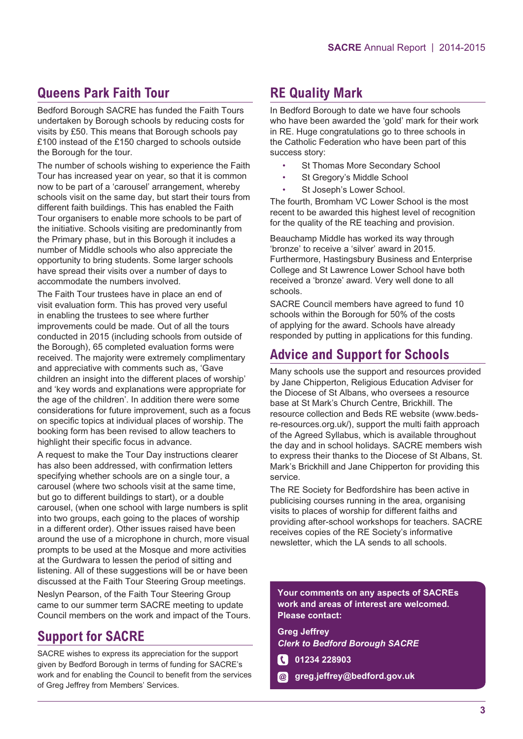## **Queens Park Faith Tour**

Bedford Borough SACRE has funded the Faith Tours undertaken by Borough schools by reducing costs for visits by £50. This means that Borough schools pay £100 instead of the £150 charged to schools outside the Borough for the tour.

The number of schools wishing to experience the Faith Tour has increased year on year, so that it is common now to be part of a 'carousel' arrangement, whereby schools visit on the same day, but start their tours from different faith buildings. This has enabled the Faith Tour organisers to enable more schools to be part of the initiative. Schools visiting are predominantly from the Primary phase, but in this Borough it includes a number of Middle schools who also appreciate the opportunity to bring students. Some larger schools have spread their visits over a number of days to accommodate the numbers involved.

The Faith Tour trustees have in place an end of visit evaluation form. This has proved very useful in enabling the trustees to see where further improvements could be made. Out of all the tours conducted in 2015 (including schools from outside of the Borough), 65 completed evaluation forms were received. The majority were extremely complimentary and appreciative with comments such as, 'Gave children an insight into the different places of worship' and 'key words and explanations were appropriate for the age of the children'. In addition there were some considerations for future improvement, such as a focus on specific topics at individual places of worship. The booking form has been revised to allow teachers to highlight their specific focus in advance.

A request to make the Tour Day instructions clearer has also been addressed, with confirmation letters specifying whether schools are on a single tour, a carousel (where two schools visit at the same time, but go to different buildings to start), or a double carousel, (when one school with large numbers is split into two groups, each going to the places of worship in a different order). Other issues raised have been around the use of a microphone in church, more visual prompts to be used at the Mosque and more activities at the Gurdwara to lessen the period of sitting and listening. All of these suggestions will be or have been discussed at the Faith Tour Steering Group meetings.

Neslyn Pearson, of the Faith Tour Steering Group came to our summer term SACRE meeting to update Council members on the work and impact of the Tours.

## **Support for SACRE**

SACRE wishes to express its appreciation for the support given by Bedford Borough in terms of funding for SACRE's work and for enabling the Council to benefit from the services of Greg Jeffrey from Members' Services.

## **RE Quality Mark**

In Bedford Borough to date we have four schools who have been awarded the 'gold' mark for their work in RE. Huge congratulations go to three schools in the Catholic Federation who have been part of this success story:

- St Thomas More Secondary School
- St Gregory's Middle School
- St Joseph's Lower School.

The fourth, Bromham VC Lower School is the most recent to be awarded this highest level of recognition for the quality of the RE teaching and provision.

Beauchamp Middle has worked its way through 'bronze' to receive a 'silver' award in 2015. Furthermore, Hastingsbury Business and Enterprise College and St Lawrence Lower School have both received a 'bronze' award. Very well done to all schools.

SACRE Council members have agreed to fund 10 schools within the Borough for 50% of the costs of applying for the award. Schools have already responded by putting in applications for this funding.

### **Advice and Support for Schools**

Many schools use the support and resources provided by Jane Chipperton, Religious Education Adviser for the Diocese of St Albans, who oversees a resource base at St Mark's Church Centre, Brickhill. The resource collection and Beds RE website (www.bedsre-resources.org.uk/), support the multi faith approach of the Agreed Syllabus, which is available throughout the day and in school holidays. SACRE members wish to express their thanks to the Diocese of St Albans, St. Mark's Brickhill and Jane Chipperton for providing this service.

The RE Society for Bedfordshire has been active in publicising courses running in the area, organising visits to places of worship for different faiths and providing after-school workshops for teachers. SACRE receives copies of the RE Society's informative newsletter, which the LA sends to all schools.

**Your comments on any aspects of SACREs work and areas of interest are welcomed. Please contact:**

**Greg Jeffrey** *Clerk to Bedford Borough SACRE*

- **01234 228903**
- **greg.jeffrey@bedford.gov.uk**